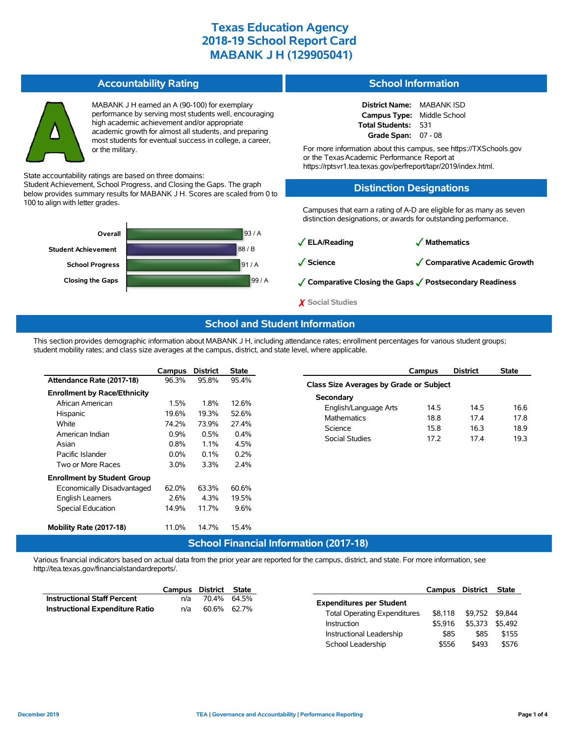### **Accountability Rating**

MABANK J H earned an A (90-100) for exemplary performance by serving most students well, encouraging high academic achievement and/or appropriate academic growth for almost all students, and preparing most students for eventual success in college, a career, or the military.

State accountability ratings are based on three domains:

Student Achievement, School Progress, and Closing the Gaps. The graph below provides summary results for MABANK J H. Scores are scaled from 0 to 100 to align with letter grades.



#### **School Information**

| <b>District Name:</b> | <b>MABANK ISD</b> |
|-----------------------|-------------------|
| <b>Campus Type:</b>   | Middle School     |
| Total Students:       | 531               |
| Grade Span:           | $07 - 08$         |

For more information about this campus, see https://TXSchools.gov or the TexasAcademic Performance Report at https://rptsvr1.tea.texas.gov/perfreport/tapr/2019/index.html.

#### **Distinction Designations**

Campuses that earn a rating of A-D are eligible for as many as seven distinction designations, or awards for outstanding performance.

✓**ELA/Reading** ✓ **Mathematics**

✓**Science** ✓**Comparative Academic Growth**

✓**Comparative Closing the Gaps** ✓**Postsecondary Readiness**

✗ **Social Studies**

### **School and Student Information**

This section provides demographic information about MABANK J H, including attendance rates; enrollment percentages for various student groups; student mobility rates; and class size averages at the campus, district, and state level, where applicable.

|                                     | Campus  | <b>District</b>  | <b>State</b> |
|-------------------------------------|---------|------------------|--------------|
| Attendance Rate (2017-18)           | 96.3%   | 95.8%            | 95.4%        |
| <b>Enrollment by Race/Ethnicity</b> |         |                  |              |
| African American                    | 1.5%    | 1.8%             | 12.6%        |
| Hispanic                            | 19.6%   | 19.3%            | 52.6%        |
| White                               | 74.2%   | 73.9%            | 27.4%        |
| American Indian                     | $0.9\%$ | 0.5%             | 0.4%         |
| Asian                               | $0.8\%$ | $1.1\%$          | 4.5%         |
| Pacific Islander                    | $0.0\%$ | $0.1\%$          | 0.2%         |
| Two or More Races                   | 3.0%    | 3.3%             | 2.4%         |
| <b>Enrollment by Student Group</b>  |         |                  |              |
| Economically Disadvantaged          | 62.0%   | 63.3%            | 60.6%        |
| <b>English Learners</b>             | 2.6%    | 4.3%             | 19.5%        |
| <b>Special Education</b>            | 14.9%   | 11.7%            | 9.6%         |
|                                     |         |                  |              |
| Mobility Rate (2017-18)             | 11.0%   | 14.7%            | 15.4%        |
|                                     |         | Calcell Electric |              |

|                                         | Campus          | <b>District</b> | <b>State</b> |  |  |  |  |  |  |
|-----------------------------------------|-----------------|-----------------|--------------|--|--|--|--|--|--|
| Class Size Averages by Grade or Subject |                 |                 |              |  |  |  |  |  |  |
| Secondary                               |                 |                 |              |  |  |  |  |  |  |
| English/Language Arts                   | 14.5            | 14.5            | 16.6         |  |  |  |  |  |  |
| <b>Mathematics</b>                      | 18.8            | 174             | 17.8         |  |  |  |  |  |  |
| Science                                 | 15.8            | 16.3            | 18.9         |  |  |  |  |  |  |
| Social Studies                          | 17 <sub>2</sub> | 174             | 193          |  |  |  |  |  |  |
|                                         |                 |                 |              |  |  |  |  |  |  |

### **School Financial Information (2017-18)**

Various financial indicators based on actual data from the prior year are reported for the campus, district, and state. For more information, see http://tea.texas.gov/financialstandardreports/.

|                                    | Campus | District State |             |                                     | Campus  | <b>District</b> |         |
|------------------------------------|--------|----------------|-------------|-------------------------------------|---------|-----------------|---------|
| <b>Instructional Staff Percent</b> | n/a    |                | 70.4% 64.5% | <b>Expenditures per Student</b>     |         |                 |         |
| Instructional Expenditure Ratio    | n/a    |                | 60.6% 62.7% | <b>Total Operating Expenditures</b> | \$8.118 | \$9.752         | \$9.844 |
|                                    |        |                |             | <b>Instruction</b>                  | \$5.916 | \$5.373         | \$5.492 |
|                                    |        |                |             | Instructional Leadership            |         | \$85            |         |
|                                    |        |                |             | School Leadership                   | \$556   | \$493           |         |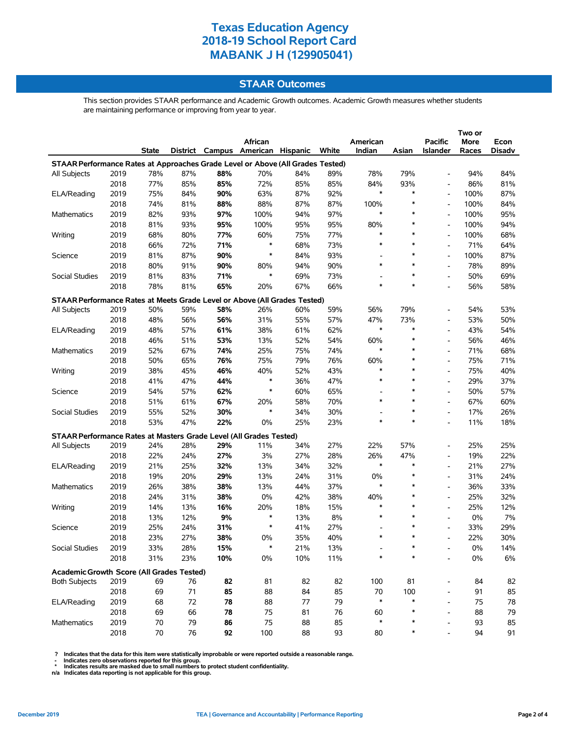### **STAAR Outcomes**

This section provides STAAR performance and Academic Growth outcomes. Academic Growth measures whether students are maintaining performance or improving from year to year.

| African<br>American<br><b>Pacific</b><br>More<br>Econ<br>District Campus American Hispanic<br>White<br>Indian<br>Asian<br>State<br><b>Islander</b><br>Races<br>Disadv<br>STAAR Performance Rates at Approaches Grade Level or Above (All Grades Tested)<br>87%<br>78%<br>79%<br>2019<br>78%<br>88%<br>70%<br>84%<br>89%<br>94%<br>84%<br>All Subjects<br>93%<br>2018<br>77%<br>85%<br>85%<br>72%<br>85%<br>85%<br>84%<br>86%<br>81%<br>$\overline{a}$<br>$\ast$<br>$\ast$<br>2019<br>63%<br>92%<br>87%<br>75%<br>84%<br>90%<br>87%<br>100%<br>ELA/Reading<br>$\overline{\phantom{a}}$<br>2018<br>81%<br>88%<br>84%<br>74%<br>88%<br>87%<br>87%<br>100%<br>∗<br>100%<br>$\overline{\phantom{a}}$<br>$\ast$<br>$\ast$<br>2019<br>82%<br>93%<br>97%<br>100%<br>97%<br>100%<br>95%<br>94%<br>Mathematics<br>$\ast$<br>100%<br>94%<br>2018<br>81%<br>93%<br>95%<br>100%<br>95%<br>95%<br>80%<br>$\overline{\phantom{a}}$<br>2019<br>68%<br>80%<br>60%<br>*<br>$\ast$<br>100%<br>68%<br>Writing<br>77%<br>75%<br>77%<br>$\overline{a}$<br>$\ast$<br>$\ast$<br>$\ast$<br>71%<br>73%<br>71%<br>64%<br>2018<br>66%<br>72%<br>68%<br>$\overline{a}$<br>$\ast$<br>2019<br>90%<br>93%<br>$\ast$<br>100%<br>87%<br>81%<br>87%<br>84%<br>Science<br>$\overline{\phantom{a}}$<br>2018<br>80%<br>91%<br>90%<br>80%<br>94%<br>90%<br>$\ast$<br>*<br>78%<br>89%<br>$\overline{\phantom{a}}$<br>$\ast$<br>73%<br>$\ast$<br>50%<br>69%<br>Social Studies<br>2019<br>81%<br>83%<br>71%<br>69%<br>$\overline{\phantom{a}}$<br>$\ast$<br>81%<br>65%<br>*<br>2018<br>78%<br>20%<br>67%<br>66%<br>56%<br>58%<br>$\overline{\phantom{a}}$<br>STAAR Performance Rates at Meets Grade Level or Above (All Grades Tested)<br>79%<br>2019<br>50%<br>59%<br>58%<br>26%<br>60%<br>59%<br>56%<br>54%<br>53%<br>All Subjects<br>$\overline{\phantom{a}}$<br>31%<br>57%<br>73%<br>50%<br>2018<br>48%<br>56%<br>56%<br>55%<br>47%<br>53%<br>$\overline{\phantom{a}}$<br>$\ast$<br>$\ast$<br>2019<br>48%<br>57%<br>61%<br>38%<br>62%<br>43%<br>54%<br>ELA/Reading<br>61%<br>$\overline{\phantom{a}}$<br>2018<br>$\ast$<br>46%<br>46%<br>51%<br>53%<br>13%<br>52%<br>54%<br>60%<br>56%<br>$\overline{\phantom{a}}$<br>$\ast$<br>2019<br>52%<br>25%<br>$\ast$<br>68%<br>Mathematics<br>67%<br>74%<br>75%<br>74%<br>71%<br>$\overline{\phantom{a}}$<br>50%<br>65%<br>75%<br>*<br>71%<br>2018<br>76%<br>79%<br>76%<br>60%<br>75%<br>$\overline{a}$<br>$\ast$<br>40%<br>*<br>40%<br>2019<br>38%<br>45%<br>46%<br>52%<br>43%<br>75%<br>Writing<br>$\overline{a}$<br>$\ast$<br>2018<br>47%<br>44%<br>36%<br>47%<br>*<br>*<br>29%<br>37%<br>41%<br>$\overline{a}$<br>$\ast$<br>2019<br>$\ast$<br>50%<br>57%<br>54%<br>57%<br>62%<br>60%<br>65%<br>Science<br>$\overline{a}$<br>67%<br>70%<br>$\ast$<br>$\ast$<br>60%<br>2018<br>51%<br>61%<br>20%<br>58%<br>67%<br>L,<br>$\ast$<br>2019<br>52%<br>30%<br>30%<br>26%<br>Social Studies<br>55%<br>34%<br>$\ast$<br>17%<br>$\qquad \qquad \blacksquare$<br>$\ast$<br>2018<br>53%<br>47%<br>23%<br>$\ast$<br>18%<br>22%<br>0%<br>25%<br>11%<br>$\overline{\phantom{a}}$<br>STAAR Performance Rates at Masters Grade Level (All Grades Tested)<br>28%<br>29%<br>11%<br>27%<br>22%<br>57%<br>25%<br>All Subjects<br>2019<br>24%<br>34%<br>25%<br>$\overline{a}$<br>2018<br>24%<br>27%<br>3%<br>28%<br>47%<br>22%<br>22%<br>27%<br>26%<br>19%<br>$\qquad \qquad \blacksquare$<br>$\ast$<br>$\ast$<br>27%<br>2019<br>21%<br>25%<br>32%<br>13%<br>34%<br>32%<br>21%<br>ELA/Reading<br>$\qquad \qquad \blacksquare$<br>2018<br>19%<br>20%<br>29%<br>13%<br>31%<br>0%<br>$\ast$<br>31%<br>24%<br>24%<br>$\overline{a}$<br>38%<br>37%<br>$\ast$<br>$\ast$<br>33%<br>Mathematics<br>2019<br>26%<br>38%<br>13%<br>44%<br>36%<br>$\overline{\phantom{a}}$<br>2018<br>$0\%$<br>38%<br>$\ast$<br>32%<br>24%<br>31%<br>38%<br>42%<br>40%<br>25%<br>$\overline{\phantom{a}}$<br>16%<br>20%<br>$\ast$<br>$\ast$<br>25%<br>12%<br>Writing<br>2019<br>14%<br>13%<br>18%<br>15%<br>$\overline{\phantom{a}}$<br>$\ast$<br>9%<br>8%<br>$\ast$<br>$\ast$<br>7%<br>2018<br>13%<br>12%<br>13%<br>0%<br>$\overline{\phantom{a}}$<br>$\ast$<br>41%<br>29%<br>2019<br>25%<br>24%<br>31%<br>27%<br>33%<br>Science<br>23%<br>27%<br>40%<br>$\ast$<br>$\ast$<br>30%<br>2018<br>38%<br>0%<br>35%<br>22%<br>2019<br>33%<br>28%<br>21%<br>13%<br>$0\%$<br>14%<br>15%<br>Social Studies<br>31%<br>23%<br>10%<br>10%<br>∗<br>$\ast$<br>0%<br>6%<br>2018<br>0%<br>11%<br>$\qquad \qquad \blacksquare$<br>Academic Growth Score (All Grades Tested)<br>2019<br>69<br>76<br>82<br>81<br>82<br>82<br>100<br>81<br>84<br>82<br><b>Both Subjects</b><br>71<br>85<br>70<br>100<br>85<br>2018<br>69<br>85<br>88<br>84<br>91<br>$\overline{a}$<br>$\ast$<br>72<br>77<br>79<br>*<br>75<br>78<br>ELA/Reading<br>2019<br>68<br>78<br>88<br>$\overline{\phantom{a}}$<br>79<br>2018<br>69<br>66<br>78<br>75<br>81<br>76<br>88<br>60<br>∗<br>$\overline{\phantom{a}}$<br>2019<br>85<br>$\ast$<br>85<br>Mathematics<br>70<br>79<br>86<br>75<br>88<br>93<br>2018<br>70<br>76<br>93<br>*<br>92<br>100<br>88<br>80<br>94<br>91 |  |  |  |  |  |  |  |  |  |  |  |  |  |
|-------------------------------------------------------------------------------------------------------------------------------------------------------------------------------------------------------------------------------------------------------------------------------------------------------------------------------------------------------------------------------------------------------------------------------------------------------------------------------------------------------------------------------------------------------------------------------------------------------------------------------------------------------------------------------------------------------------------------------------------------------------------------------------------------------------------------------------------------------------------------------------------------------------------------------------------------------------------------------------------------------------------------------------------------------------------------------------------------------------------------------------------------------------------------------------------------------------------------------------------------------------------------------------------------------------------------------------------------------------------------------------------------------------------------------------------------------------------------------------------------------------------------------------------------------------------------------------------------------------------------------------------------------------------------------------------------------------------------------------------------------------------------------------------------------------------------------------------------------------------------------------------------------------------------------------------------------------------------------------------------------------------------------------------------------------------------------------------------------------------------------------------------------------------------------------------------------------------------------------------------------------------------------------------------------------------------------------------------------------------------------------------------------------------------------------------------------------------------------------------------------------------------------------------------------------------------------------------------------------------------------------------------------------------------------------------------------------------------------------------------------------------------------------------------------------------------------------------------------------------------------------------------------------------------------------------------------------------------------------------------------------------------------------------------------------------------------------------------------------------------------------------------------------------------------------------------------------------------------------------------------------------------------------------------------------------------------------------------------------------------------------------------------------------------------------------------------------------------------------------------------------------------------------------------------------------------------------------------------------------------------------------------------------------------------------------------------------------------------------------------------------------------------------------------------------------------------------------------------------------------------------------------------------------------------------------------------------------------------------------------------------------------------------------------------------------------------------------------------------------------------------------------------------------------------------------------------------------------------------------------------------------------------------------------------------------------------------------------------------------------------------------------------------------------------------------------------------------------------------------------------------------------------------------------------------------------------------------------------------------------------------------------------------------------------------------------------------------------------------------------------------------------------------------------------------------------------------------------------------------------------------------------------------------------------------------------------------------------------------------------------------------------------------------------------------------------|--|--|--|--|--|--|--|--|--|--|--|--|--|
|                                                                                                                                                                                                                                                                                                                                                                                                                                                                                                                                                                                                                                                                                                                                                                                                                                                                                                                                                                                                                                                                                                                                                                                                                                                                                                                                                                                                                                                                                                                                                                                                                                                                                                                                                                                                                                                                                                                                                                                                                                                                                                                                                                                                                                                                                                                                                                                                                                                                                                                                                                                                                                                                                                                                                                                                                                                                                                                                                                                                                                                                                                                                                                                                                                                                                                                                                                                                                                                                                                                                                                                                                                                                                                                                                                                                                                                                                                                                                                                                                                                                                                                                                                                                                                                                                                                                                                                                                                                                                                                                                                                                                                                                                                                                                                                                                                                                                                                                                                                                                                                                         |  |  |  |  |  |  |  |  |  |  |  |  |  |
|                                                                                                                                                                                                                                                                                                                                                                                                                                                                                                                                                                                                                                                                                                                                                                                                                                                                                                                                                                                                                                                                                                                                                                                                                                                                                                                                                                                                                                                                                                                                                                                                                                                                                                                                                                                                                                                                                                                                                                                                                                                                                                                                                                                                                                                                                                                                                                                                                                                                                                                                                                                                                                                                                                                                                                                                                                                                                                                                                                                                                                                                                                                                                                                                                                                                                                                                                                                                                                                                                                                                                                                                                                                                                                                                                                                                                                                                                                                                                                                                                                                                                                                                                                                                                                                                                                                                                                                                                                                                                                                                                                                                                                                                                                                                                                                                                                                                                                                                                                                                                                                                         |  |  |  |  |  |  |  |  |  |  |  |  |  |
|                                                                                                                                                                                                                                                                                                                                                                                                                                                                                                                                                                                                                                                                                                                                                                                                                                                                                                                                                                                                                                                                                                                                                                                                                                                                                                                                                                                                                                                                                                                                                                                                                                                                                                                                                                                                                                                                                                                                                                                                                                                                                                                                                                                                                                                                                                                                                                                                                                                                                                                                                                                                                                                                                                                                                                                                                                                                                                                                                                                                                                                                                                                                                                                                                                                                                                                                                                                                                                                                                                                                                                                                                                                                                                                                                                                                                                                                                                                                                                                                                                                                                                                                                                                                                                                                                                                                                                                                                                                                                                                                                                                                                                                                                                                                                                                                                                                                                                                                                                                                                                                                         |  |  |  |  |  |  |  |  |  |  |  |  |  |
|                                                                                                                                                                                                                                                                                                                                                                                                                                                                                                                                                                                                                                                                                                                                                                                                                                                                                                                                                                                                                                                                                                                                                                                                                                                                                                                                                                                                                                                                                                                                                                                                                                                                                                                                                                                                                                                                                                                                                                                                                                                                                                                                                                                                                                                                                                                                                                                                                                                                                                                                                                                                                                                                                                                                                                                                                                                                                                                                                                                                                                                                                                                                                                                                                                                                                                                                                                                                                                                                                                                                                                                                                                                                                                                                                                                                                                                                                                                                                                                                                                                                                                                                                                                                                                                                                                                                                                                                                                                                                                                                                                                                                                                                                                                                                                                                                                                                                                                                                                                                                                                                         |  |  |  |  |  |  |  |  |  |  |  |  |  |
|                                                                                                                                                                                                                                                                                                                                                                                                                                                                                                                                                                                                                                                                                                                                                                                                                                                                                                                                                                                                                                                                                                                                                                                                                                                                                                                                                                                                                                                                                                                                                                                                                                                                                                                                                                                                                                                                                                                                                                                                                                                                                                                                                                                                                                                                                                                                                                                                                                                                                                                                                                                                                                                                                                                                                                                                                                                                                                                                                                                                                                                                                                                                                                                                                                                                                                                                                                                                                                                                                                                                                                                                                                                                                                                                                                                                                                                                                                                                                                                                                                                                                                                                                                                                                                                                                                                                                                                                                                                                                                                                                                                                                                                                                                                                                                                                                                                                                                                                                                                                                                                                         |  |  |  |  |  |  |  |  |  |  |  |  |  |
|                                                                                                                                                                                                                                                                                                                                                                                                                                                                                                                                                                                                                                                                                                                                                                                                                                                                                                                                                                                                                                                                                                                                                                                                                                                                                                                                                                                                                                                                                                                                                                                                                                                                                                                                                                                                                                                                                                                                                                                                                                                                                                                                                                                                                                                                                                                                                                                                                                                                                                                                                                                                                                                                                                                                                                                                                                                                                                                                                                                                                                                                                                                                                                                                                                                                                                                                                                                                                                                                                                                                                                                                                                                                                                                                                                                                                                                                                                                                                                                                                                                                                                                                                                                                                                                                                                                                                                                                                                                                                                                                                                                                                                                                                                                                                                                                                                                                                                                                                                                                                                                                         |  |  |  |  |  |  |  |  |  |  |  |  |  |
|                                                                                                                                                                                                                                                                                                                                                                                                                                                                                                                                                                                                                                                                                                                                                                                                                                                                                                                                                                                                                                                                                                                                                                                                                                                                                                                                                                                                                                                                                                                                                                                                                                                                                                                                                                                                                                                                                                                                                                                                                                                                                                                                                                                                                                                                                                                                                                                                                                                                                                                                                                                                                                                                                                                                                                                                                                                                                                                                                                                                                                                                                                                                                                                                                                                                                                                                                                                                                                                                                                                                                                                                                                                                                                                                                                                                                                                                                                                                                                                                                                                                                                                                                                                                                                                                                                                                                                                                                                                                                                                                                                                                                                                                                                                                                                                                                                                                                                                                                                                                                                                                         |  |  |  |  |  |  |  |  |  |  |  |  |  |
|                                                                                                                                                                                                                                                                                                                                                                                                                                                                                                                                                                                                                                                                                                                                                                                                                                                                                                                                                                                                                                                                                                                                                                                                                                                                                                                                                                                                                                                                                                                                                                                                                                                                                                                                                                                                                                                                                                                                                                                                                                                                                                                                                                                                                                                                                                                                                                                                                                                                                                                                                                                                                                                                                                                                                                                                                                                                                                                                                                                                                                                                                                                                                                                                                                                                                                                                                                                                                                                                                                                                                                                                                                                                                                                                                                                                                                                                                                                                                                                                                                                                                                                                                                                                                                                                                                                                                                                                                                                                                                                                                                                                                                                                                                                                                                                                                                                                                                                                                                                                                                                                         |  |  |  |  |  |  |  |  |  |  |  |  |  |
|                                                                                                                                                                                                                                                                                                                                                                                                                                                                                                                                                                                                                                                                                                                                                                                                                                                                                                                                                                                                                                                                                                                                                                                                                                                                                                                                                                                                                                                                                                                                                                                                                                                                                                                                                                                                                                                                                                                                                                                                                                                                                                                                                                                                                                                                                                                                                                                                                                                                                                                                                                                                                                                                                                                                                                                                                                                                                                                                                                                                                                                                                                                                                                                                                                                                                                                                                                                                                                                                                                                                                                                                                                                                                                                                                                                                                                                                                                                                                                                                                                                                                                                                                                                                                                                                                                                                                                                                                                                                                                                                                                                                                                                                                                                                                                                                                                                                                                                                                                                                                                                                         |  |  |  |  |  |  |  |  |  |  |  |  |  |
|                                                                                                                                                                                                                                                                                                                                                                                                                                                                                                                                                                                                                                                                                                                                                                                                                                                                                                                                                                                                                                                                                                                                                                                                                                                                                                                                                                                                                                                                                                                                                                                                                                                                                                                                                                                                                                                                                                                                                                                                                                                                                                                                                                                                                                                                                                                                                                                                                                                                                                                                                                                                                                                                                                                                                                                                                                                                                                                                                                                                                                                                                                                                                                                                                                                                                                                                                                                                                                                                                                                                                                                                                                                                                                                                                                                                                                                                                                                                                                                                                                                                                                                                                                                                                                                                                                                                                                                                                                                                                                                                                                                                                                                                                                                                                                                                                                                                                                                                                                                                                                                                         |  |  |  |  |  |  |  |  |  |  |  |  |  |
|                                                                                                                                                                                                                                                                                                                                                                                                                                                                                                                                                                                                                                                                                                                                                                                                                                                                                                                                                                                                                                                                                                                                                                                                                                                                                                                                                                                                                                                                                                                                                                                                                                                                                                                                                                                                                                                                                                                                                                                                                                                                                                                                                                                                                                                                                                                                                                                                                                                                                                                                                                                                                                                                                                                                                                                                                                                                                                                                                                                                                                                                                                                                                                                                                                                                                                                                                                                                                                                                                                                                                                                                                                                                                                                                                                                                                                                                                                                                                                                                                                                                                                                                                                                                                                                                                                                                                                                                                                                                                                                                                                                                                                                                                                                                                                                                                                                                                                                                                                                                                                                                         |  |  |  |  |  |  |  |  |  |  |  |  |  |
|                                                                                                                                                                                                                                                                                                                                                                                                                                                                                                                                                                                                                                                                                                                                                                                                                                                                                                                                                                                                                                                                                                                                                                                                                                                                                                                                                                                                                                                                                                                                                                                                                                                                                                                                                                                                                                                                                                                                                                                                                                                                                                                                                                                                                                                                                                                                                                                                                                                                                                                                                                                                                                                                                                                                                                                                                                                                                                                                                                                                                                                                                                                                                                                                                                                                                                                                                                                                                                                                                                                                                                                                                                                                                                                                                                                                                                                                                                                                                                                                                                                                                                                                                                                                                                                                                                                                                                                                                                                                                                                                                                                                                                                                                                                                                                                                                                                                                                                                                                                                                                                                         |  |  |  |  |  |  |  |  |  |  |  |  |  |
|                                                                                                                                                                                                                                                                                                                                                                                                                                                                                                                                                                                                                                                                                                                                                                                                                                                                                                                                                                                                                                                                                                                                                                                                                                                                                                                                                                                                                                                                                                                                                                                                                                                                                                                                                                                                                                                                                                                                                                                                                                                                                                                                                                                                                                                                                                                                                                                                                                                                                                                                                                                                                                                                                                                                                                                                                                                                                                                                                                                                                                                                                                                                                                                                                                                                                                                                                                                                                                                                                                                                                                                                                                                                                                                                                                                                                                                                                                                                                                                                                                                                                                                                                                                                                                                                                                                                                                                                                                                                                                                                                                                                                                                                                                                                                                                                                                                                                                                                                                                                                                                                         |  |  |  |  |  |  |  |  |  |  |  |  |  |
|                                                                                                                                                                                                                                                                                                                                                                                                                                                                                                                                                                                                                                                                                                                                                                                                                                                                                                                                                                                                                                                                                                                                                                                                                                                                                                                                                                                                                                                                                                                                                                                                                                                                                                                                                                                                                                                                                                                                                                                                                                                                                                                                                                                                                                                                                                                                                                                                                                                                                                                                                                                                                                                                                                                                                                                                                                                                                                                                                                                                                                                                                                                                                                                                                                                                                                                                                                                                                                                                                                                                                                                                                                                                                                                                                                                                                                                                                                                                                                                                                                                                                                                                                                                                                                                                                                                                                                                                                                                                                                                                                                                                                                                                                                                                                                                                                                                                                                                                                                                                                                                                         |  |  |  |  |  |  |  |  |  |  |  |  |  |
|                                                                                                                                                                                                                                                                                                                                                                                                                                                                                                                                                                                                                                                                                                                                                                                                                                                                                                                                                                                                                                                                                                                                                                                                                                                                                                                                                                                                                                                                                                                                                                                                                                                                                                                                                                                                                                                                                                                                                                                                                                                                                                                                                                                                                                                                                                                                                                                                                                                                                                                                                                                                                                                                                                                                                                                                                                                                                                                                                                                                                                                                                                                                                                                                                                                                                                                                                                                                                                                                                                                                                                                                                                                                                                                                                                                                                                                                                                                                                                                                                                                                                                                                                                                                                                                                                                                                                                                                                                                                                                                                                                                                                                                                                                                                                                                                                                                                                                                                                                                                                                                                         |  |  |  |  |  |  |  |  |  |  |  |  |  |
|                                                                                                                                                                                                                                                                                                                                                                                                                                                                                                                                                                                                                                                                                                                                                                                                                                                                                                                                                                                                                                                                                                                                                                                                                                                                                                                                                                                                                                                                                                                                                                                                                                                                                                                                                                                                                                                                                                                                                                                                                                                                                                                                                                                                                                                                                                                                                                                                                                                                                                                                                                                                                                                                                                                                                                                                                                                                                                                                                                                                                                                                                                                                                                                                                                                                                                                                                                                                                                                                                                                                                                                                                                                                                                                                                                                                                                                                                                                                                                                                                                                                                                                                                                                                                                                                                                                                                                                                                                                                                                                                                                                                                                                                                                                                                                                                                                                                                                                                                                                                                                                                         |  |  |  |  |  |  |  |  |  |  |  |  |  |
|                                                                                                                                                                                                                                                                                                                                                                                                                                                                                                                                                                                                                                                                                                                                                                                                                                                                                                                                                                                                                                                                                                                                                                                                                                                                                                                                                                                                                                                                                                                                                                                                                                                                                                                                                                                                                                                                                                                                                                                                                                                                                                                                                                                                                                                                                                                                                                                                                                                                                                                                                                                                                                                                                                                                                                                                                                                                                                                                                                                                                                                                                                                                                                                                                                                                                                                                                                                                                                                                                                                                                                                                                                                                                                                                                                                                                                                                                                                                                                                                                                                                                                                                                                                                                                                                                                                                                                                                                                                                                                                                                                                                                                                                                                                                                                                                                                                                                                                                                                                                                                                                         |  |  |  |  |  |  |  |  |  |  |  |  |  |
|                                                                                                                                                                                                                                                                                                                                                                                                                                                                                                                                                                                                                                                                                                                                                                                                                                                                                                                                                                                                                                                                                                                                                                                                                                                                                                                                                                                                                                                                                                                                                                                                                                                                                                                                                                                                                                                                                                                                                                                                                                                                                                                                                                                                                                                                                                                                                                                                                                                                                                                                                                                                                                                                                                                                                                                                                                                                                                                                                                                                                                                                                                                                                                                                                                                                                                                                                                                                                                                                                                                                                                                                                                                                                                                                                                                                                                                                                                                                                                                                                                                                                                                                                                                                                                                                                                                                                                                                                                                                                                                                                                                                                                                                                                                                                                                                                                                                                                                                                                                                                                                                         |  |  |  |  |  |  |  |  |  |  |  |  |  |
|                                                                                                                                                                                                                                                                                                                                                                                                                                                                                                                                                                                                                                                                                                                                                                                                                                                                                                                                                                                                                                                                                                                                                                                                                                                                                                                                                                                                                                                                                                                                                                                                                                                                                                                                                                                                                                                                                                                                                                                                                                                                                                                                                                                                                                                                                                                                                                                                                                                                                                                                                                                                                                                                                                                                                                                                                                                                                                                                                                                                                                                                                                                                                                                                                                                                                                                                                                                                                                                                                                                                                                                                                                                                                                                                                                                                                                                                                                                                                                                                                                                                                                                                                                                                                                                                                                                                                                                                                                                                                                                                                                                                                                                                                                                                                                                                                                                                                                                                                                                                                                                                         |  |  |  |  |  |  |  |  |  |  |  |  |  |
|                                                                                                                                                                                                                                                                                                                                                                                                                                                                                                                                                                                                                                                                                                                                                                                                                                                                                                                                                                                                                                                                                                                                                                                                                                                                                                                                                                                                                                                                                                                                                                                                                                                                                                                                                                                                                                                                                                                                                                                                                                                                                                                                                                                                                                                                                                                                                                                                                                                                                                                                                                                                                                                                                                                                                                                                                                                                                                                                                                                                                                                                                                                                                                                                                                                                                                                                                                                                                                                                                                                                                                                                                                                                                                                                                                                                                                                                                                                                                                                                                                                                                                                                                                                                                                                                                                                                                                                                                                                                                                                                                                                                                                                                                                                                                                                                                                                                                                                                                                                                                                                                         |  |  |  |  |  |  |  |  |  |  |  |  |  |
|                                                                                                                                                                                                                                                                                                                                                                                                                                                                                                                                                                                                                                                                                                                                                                                                                                                                                                                                                                                                                                                                                                                                                                                                                                                                                                                                                                                                                                                                                                                                                                                                                                                                                                                                                                                                                                                                                                                                                                                                                                                                                                                                                                                                                                                                                                                                                                                                                                                                                                                                                                                                                                                                                                                                                                                                                                                                                                                                                                                                                                                                                                                                                                                                                                                                                                                                                                                                                                                                                                                                                                                                                                                                                                                                                                                                                                                                                                                                                                                                                                                                                                                                                                                                                                                                                                                                                                                                                                                                                                                                                                                                                                                                                                                                                                                                                                                                                                                                                                                                                                                                         |  |  |  |  |  |  |  |  |  |  |  |  |  |
|                                                                                                                                                                                                                                                                                                                                                                                                                                                                                                                                                                                                                                                                                                                                                                                                                                                                                                                                                                                                                                                                                                                                                                                                                                                                                                                                                                                                                                                                                                                                                                                                                                                                                                                                                                                                                                                                                                                                                                                                                                                                                                                                                                                                                                                                                                                                                                                                                                                                                                                                                                                                                                                                                                                                                                                                                                                                                                                                                                                                                                                                                                                                                                                                                                                                                                                                                                                                                                                                                                                                                                                                                                                                                                                                                                                                                                                                                                                                                                                                                                                                                                                                                                                                                                                                                                                                                                                                                                                                                                                                                                                                                                                                                                                                                                                                                                                                                                                                                                                                                                                                         |  |  |  |  |  |  |  |  |  |  |  |  |  |
|                                                                                                                                                                                                                                                                                                                                                                                                                                                                                                                                                                                                                                                                                                                                                                                                                                                                                                                                                                                                                                                                                                                                                                                                                                                                                                                                                                                                                                                                                                                                                                                                                                                                                                                                                                                                                                                                                                                                                                                                                                                                                                                                                                                                                                                                                                                                                                                                                                                                                                                                                                                                                                                                                                                                                                                                                                                                                                                                                                                                                                                                                                                                                                                                                                                                                                                                                                                                                                                                                                                                                                                                                                                                                                                                                                                                                                                                                                                                                                                                                                                                                                                                                                                                                                                                                                                                                                                                                                                                                                                                                                                                                                                                                                                                                                                                                                                                                                                                                                                                                                                                         |  |  |  |  |  |  |  |  |  |  |  |  |  |
|                                                                                                                                                                                                                                                                                                                                                                                                                                                                                                                                                                                                                                                                                                                                                                                                                                                                                                                                                                                                                                                                                                                                                                                                                                                                                                                                                                                                                                                                                                                                                                                                                                                                                                                                                                                                                                                                                                                                                                                                                                                                                                                                                                                                                                                                                                                                                                                                                                                                                                                                                                                                                                                                                                                                                                                                                                                                                                                                                                                                                                                                                                                                                                                                                                                                                                                                                                                                                                                                                                                                                                                                                                                                                                                                                                                                                                                                                                                                                                                                                                                                                                                                                                                                                                                                                                                                                                                                                                                                                                                                                                                                                                                                                                                                                                                                                                                                                                                                                                                                                                                                         |  |  |  |  |  |  |  |  |  |  |  |  |  |
|                                                                                                                                                                                                                                                                                                                                                                                                                                                                                                                                                                                                                                                                                                                                                                                                                                                                                                                                                                                                                                                                                                                                                                                                                                                                                                                                                                                                                                                                                                                                                                                                                                                                                                                                                                                                                                                                                                                                                                                                                                                                                                                                                                                                                                                                                                                                                                                                                                                                                                                                                                                                                                                                                                                                                                                                                                                                                                                                                                                                                                                                                                                                                                                                                                                                                                                                                                                                                                                                                                                                                                                                                                                                                                                                                                                                                                                                                                                                                                                                                                                                                                                                                                                                                                                                                                                                                                                                                                                                                                                                                                                                                                                                                                                                                                                                                                                                                                                                                                                                                                                                         |  |  |  |  |  |  |  |  |  |  |  |  |  |
|                                                                                                                                                                                                                                                                                                                                                                                                                                                                                                                                                                                                                                                                                                                                                                                                                                                                                                                                                                                                                                                                                                                                                                                                                                                                                                                                                                                                                                                                                                                                                                                                                                                                                                                                                                                                                                                                                                                                                                                                                                                                                                                                                                                                                                                                                                                                                                                                                                                                                                                                                                                                                                                                                                                                                                                                                                                                                                                                                                                                                                                                                                                                                                                                                                                                                                                                                                                                                                                                                                                                                                                                                                                                                                                                                                                                                                                                                                                                                                                                                                                                                                                                                                                                                                                                                                                                                                                                                                                                                                                                                                                                                                                                                                                                                                                                                                                                                                                                                                                                                                                                         |  |  |  |  |  |  |  |  |  |  |  |  |  |
|                                                                                                                                                                                                                                                                                                                                                                                                                                                                                                                                                                                                                                                                                                                                                                                                                                                                                                                                                                                                                                                                                                                                                                                                                                                                                                                                                                                                                                                                                                                                                                                                                                                                                                                                                                                                                                                                                                                                                                                                                                                                                                                                                                                                                                                                                                                                                                                                                                                                                                                                                                                                                                                                                                                                                                                                                                                                                                                                                                                                                                                                                                                                                                                                                                                                                                                                                                                                                                                                                                                                                                                                                                                                                                                                                                                                                                                                                                                                                                                                                                                                                                                                                                                                                                                                                                                                                                                                                                                                                                                                                                                                                                                                                                                                                                                                                                                                                                                                                                                                                                                                         |  |  |  |  |  |  |  |  |  |  |  |  |  |
|                                                                                                                                                                                                                                                                                                                                                                                                                                                                                                                                                                                                                                                                                                                                                                                                                                                                                                                                                                                                                                                                                                                                                                                                                                                                                                                                                                                                                                                                                                                                                                                                                                                                                                                                                                                                                                                                                                                                                                                                                                                                                                                                                                                                                                                                                                                                                                                                                                                                                                                                                                                                                                                                                                                                                                                                                                                                                                                                                                                                                                                                                                                                                                                                                                                                                                                                                                                                                                                                                                                                                                                                                                                                                                                                                                                                                                                                                                                                                                                                                                                                                                                                                                                                                                                                                                                                                                                                                                                                                                                                                                                                                                                                                                                                                                                                                                                                                                                                                                                                                                                                         |  |  |  |  |  |  |  |  |  |  |  |  |  |
|                                                                                                                                                                                                                                                                                                                                                                                                                                                                                                                                                                                                                                                                                                                                                                                                                                                                                                                                                                                                                                                                                                                                                                                                                                                                                                                                                                                                                                                                                                                                                                                                                                                                                                                                                                                                                                                                                                                                                                                                                                                                                                                                                                                                                                                                                                                                                                                                                                                                                                                                                                                                                                                                                                                                                                                                                                                                                                                                                                                                                                                                                                                                                                                                                                                                                                                                                                                                                                                                                                                                                                                                                                                                                                                                                                                                                                                                                                                                                                                                                                                                                                                                                                                                                                                                                                                                                                                                                                                                                                                                                                                                                                                                                                                                                                                                                                                                                                                                                                                                                                                                         |  |  |  |  |  |  |  |  |  |  |  |  |  |
|                                                                                                                                                                                                                                                                                                                                                                                                                                                                                                                                                                                                                                                                                                                                                                                                                                                                                                                                                                                                                                                                                                                                                                                                                                                                                                                                                                                                                                                                                                                                                                                                                                                                                                                                                                                                                                                                                                                                                                                                                                                                                                                                                                                                                                                                                                                                                                                                                                                                                                                                                                                                                                                                                                                                                                                                                                                                                                                                                                                                                                                                                                                                                                                                                                                                                                                                                                                                                                                                                                                                                                                                                                                                                                                                                                                                                                                                                                                                                                                                                                                                                                                                                                                                                                                                                                                                                                                                                                                                                                                                                                                                                                                                                                                                                                                                                                                                                                                                                                                                                                                                         |  |  |  |  |  |  |  |  |  |  |  |  |  |
|                                                                                                                                                                                                                                                                                                                                                                                                                                                                                                                                                                                                                                                                                                                                                                                                                                                                                                                                                                                                                                                                                                                                                                                                                                                                                                                                                                                                                                                                                                                                                                                                                                                                                                                                                                                                                                                                                                                                                                                                                                                                                                                                                                                                                                                                                                                                                                                                                                                                                                                                                                                                                                                                                                                                                                                                                                                                                                                                                                                                                                                                                                                                                                                                                                                                                                                                                                                                                                                                                                                                                                                                                                                                                                                                                                                                                                                                                                                                                                                                                                                                                                                                                                                                                                                                                                                                                                                                                                                                                                                                                                                                                                                                                                                                                                                                                                                                                                                                                                                                                                                                         |  |  |  |  |  |  |  |  |  |  |  |  |  |
|                                                                                                                                                                                                                                                                                                                                                                                                                                                                                                                                                                                                                                                                                                                                                                                                                                                                                                                                                                                                                                                                                                                                                                                                                                                                                                                                                                                                                                                                                                                                                                                                                                                                                                                                                                                                                                                                                                                                                                                                                                                                                                                                                                                                                                                                                                                                                                                                                                                                                                                                                                                                                                                                                                                                                                                                                                                                                                                                                                                                                                                                                                                                                                                                                                                                                                                                                                                                                                                                                                                                                                                                                                                                                                                                                                                                                                                                                                                                                                                                                                                                                                                                                                                                                                                                                                                                                                                                                                                                                                                                                                                                                                                                                                                                                                                                                                                                                                                                                                                                                                                                         |  |  |  |  |  |  |  |  |  |  |  |  |  |
|                                                                                                                                                                                                                                                                                                                                                                                                                                                                                                                                                                                                                                                                                                                                                                                                                                                                                                                                                                                                                                                                                                                                                                                                                                                                                                                                                                                                                                                                                                                                                                                                                                                                                                                                                                                                                                                                                                                                                                                                                                                                                                                                                                                                                                                                                                                                                                                                                                                                                                                                                                                                                                                                                                                                                                                                                                                                                                                                                                                                                                                                                                                                                                                                                                                                                                                                                                                                                                                                                                                                                                                                                                                                                                                                                                                                                                                                                                                                                                                                                                                                                                                                                                                                                                                                                                                                                                                                                                                                                                                                                                                                                                                                                                                                                                                                                                                                                                                                                                                                                                                                         |  |  |  |  |  |  |  |  |  |  |  |  |  |
|                                                                                                                                                                                                                                                                                                                                                                                                                                                                                                                                                                                                                                                                                                                                                                                                                                                                                                                                                                                                                                                                                                                                                                                                                                                                                                                                                                                                                                                                                                                                                                                                                                                                                                                                                                                                                                                                                                                                                                                                                                                                                                                                                                                                                                                                                                                                                                                                                                                                                                                                                                                                                                                                                                                                                                                                                                                                                                                                                                                                                                                                                                                                                                                                                                                                                                                                                                                                                                                                                                                                                                                                                                                                                                                                                                                                                                                                                                                                                                                                                                                                                                                                                                                                                                                                                                                                                                                                                                                                                                                                                                                                                                                                                                                                                                                                                                                                                                                                                                                                                                                                         |  |  |  |  |  |  |  |  |  |  |  |  |  |
|                                                                                                                                                                                                                                                                                                                                                                                                                                                                                                                                                                                                                                                                                                                                                                                                                                                                                                                                                                                                                                                                                                                                                                                                                                                                                                                                                                                                                                                                                                                                                                                                                                                                                                                                                                                                                                                                                                                                                                                                                                                                                                                                                                                                                                                                                                                                                                                                                                                                                                                                                                                                                                                                                                                                                                                                                                                                                                                                                                                                                                                                                                                                                                                                                                                                                                                                                                                                                                                                                                                                                                                                                                                                                                                                                                                                                                                                                                                                                                                                                                                                                                                                                                                                                                                                                                                                                                                                                                                                                                                                                                                                                                                                                                                                                                                                                                                                                                                                                                                                                                                                         |  |  |  |  |  |  |  |  |  |  |  |  |  |
|                                                                                                                                                                                                                                                                                                                                                                                                                                                                                                                                                                                                                                                                                                                                                                                                                                                                                                                                                                                                                                                                                                                                                                                                                                                                                                                                                                                                                                                                                                                                                                                                                                                                                                                                                                                                                                                                                                                                                                                                                                                                                                                                                                                                                                                                                                                                                                                                                                                                                                                                                                                                                                                                                                                                                                                                                                                                                                                                                                                                                                                                                                                                                                                                                                                                                                                                                                                                                                                                                                                                                                                                                                                                                                                                                                                                                                                                                                                                                                                                                                                                                                                                                                                                                                                                                                                                                                                                                                                                                                                                                                                                                                                                                                                                                                                                                                                                                                                                                                                                                                                                         |  |  |  |  |  |  |  |  |  |  |  |  |  |
|                                                                                                                                                                                                                                                                                                                                                                                                                                                                                                                                                                                                                                                                                                                                                                                                                                                                                                                                                                                                                                                                                                                                                                                                                                                                                                                                                                                                                                                                                                                                                                                                                                                                                                                                                                                                                                                                                                                                                                                                                                                                                                                                                                                                                                                                                                                                                                                                                                                                                                                                                                                                                                                                                                                                                                                                                                                                                                                                                                                                                                                                                                                                                                                                                                                                                                                                                                                                                                                                                                                                                                                                                                                                                                                                                                                                                                                                                                                                                                                                                                                                                                                                                                                                                                                                                                                                                                                                                                                                                                                                                                                                                                                                                                                                                                                                                                                                                                                                                                                                                                                                         |  |  |  |  |  |  |  |  |  |  |  |  |  |
|                                                                                                                                                                                                                                                                                                                                                                                                                                                                                                                                                                                                                                                                                                                                                                                                                                                                                                                                                                                                                                                                                                                                                                                                                                                                                                                                                                                                                                                                                                                                                                                                                                                                                                                                                                                                                                                                                                                                                                                                                                                                                                                                                                                                                                                                                                                                                                                                                                                                                                                                                                                                                                                                                                                                                                                                                                                                                                                                                                                                                                                                                                                                                                                                                                                                                                                                                                                                                                                                                                                                                                                                                                                                                                                                                                                                                                                                                                                                                                                                                                                                                                                                                                                                                                                                                                                                                                                                                                                                                                                                                                                                                                                                                                                                                                                                                                                                                                                                                                                                                                                                         |  |  |  |  |  |  |  |  |  |  |  |  |  |
|                                                                                                                                                                                                                                                                                                                                                                                                                                                                                                                                                                                                                                                                                                                                                                                                                                                                                                                                                                                                                                                                                                                                                                                                                                                                                                                                                                                                                                                                                                                                                                                                                                                                                                                                                                                                                                                                                                                                                                                                                                                                                                                                                                                                                                                                                                                                                                                                                                                                                                                                                                                                                                                                                                                                                                                                                                                                                                                                                                                                                                                                                                                                                                                                                                                                                                                                                                                                                                                                                                                                                                                                                                                                                                                                                                                                                                                                                                                                                                                                                                                                                                                                                                                                                                                                                                                                                                                                                                                                                                                                                                                                                                                                                                                                                                                                                                                                                                                                                                                                                                                                         |  |  |  |  |  |  |  |  |  |  |  |  |  |
|                                                                                                                                                                                                                                                                                                                                                                                                                                                                                                                                                                                                                                                                                                                                                                                                                                                                                                                                                                                                                                                                                                                                                                                                                                                                                                                                                                                                                                                                                                                                                                                                                                                                                                                                                                                                                                                                                                                                                                                                                                                                                                                                                                                                                                                                                                                                                                                                                                                                                                                                                                                                                                                                                                                                                                                                                                                                                                                                                                                                                                                                                                                                                                                                                                                                                                                                                                                                                                                                                                                                                                                                                                                                                                                                                                                                                                                                                                                                                                                                                                                                                                                                                                                                                                                                                                                                                                                                                                                                                                                                                                                                                                                                                                                                                                                                                                                                                                                                                                                                                                                                         |  |  |  |  |  |  |  |  |  |  |  |  |  |
|                                                                                                                                                                                                                                                                                                                                                                                                                                                                                                                                                                                                                                                                                                                                                                                                                                                                                                                                                                                                                                                                                                                                                                                                                                                                                                                                                                                                                                                                                                                                                                                                                                                                                                                                                                                                                                                                                                                                                                                                                                                                                                                                                                                                                                                                                                                                                                                                                                                                                                                                                                                                                                                                                                                                                                                                                                                                                                                                                                                                                                                                                                                                                                                                                                                                                                                                                                                                                                                                                                                                                                                                                                                                                                                                                                                                                                                                                                                                                                                                                                                                                                                                                                                                                                                                                                                                                                                                                                                                                                                                                                                                                                                                                                                                                                                                                                                                                                                                                                                                                                                                         |  |  |  |  |  |  |  |  |  |  |  |  |  |
|                                                                                                                                                                                                                                                                                                                                                                                                                                                                                                                                                                                                                                                                                                                                                                                                                                                                                                                                                                                                                                                                                                                                                                                                                                                                                                                                                                                                                                                                                                                                                                                                                                                                                                                                                                                                                                                                                                                                                                                                                                                                                                                                                                                                                                                                                                                                                                                                                                                                                                                                                                                                                                                                                                                                                                                                                                                                                                                                                                                                                                                                                                                                                                                                                                                                                                                                                                                                                                                                                                                                                                                                                                                                                                                                                                                                                                                                                                                                                                                                                                                                                                                                                                                                                                                                                                                                                                                                                                                                                                                                                                                                                                                                                                                                                                                                                                                                                                                                                                                                                                                                         |  |  |  |  |  |  |  |  |  |  |  |  |  |
|                                                                                                                                                                                                                                                                                                                                                                                                                                                                                                                                                                                                                                                                                                                                                                                                                                                                                                                                                                                                                                                                                                                                                                                                                                                                                                                                                                                                                                                                                                                                                                                                                                                                                                                                                                                                                                                                                                                                                                                                                                                                                                                                                                                                                                                                                                                                                                                                                                                                                                                                                                                                                                                                                                                                                                                                                                                                                                                                                                                                                                                                                                                                                                                                                                                                                                                                                                                                                                                                                                                                                                                                                                                                                                                                                                                                                                                                                                                                                                                                                                                                                                                                                                                                                                                                                                                                                                                                                                                                                                                                                                                                                                                                                                                                                                                                                                                                                                                                                                                                                                                                         |  |  |  |  |  |  |  |  |  |  |  |  |  |
|                                                                                                                                                                                                                                                                                                                                                                                                                                                                                                                                                                                                                                                                                                                                                                                                                                                                                                                                                                                                                                                                                                                                                                                                                                                                                                                                                                                                                                                                                                                                                                                                                                                                                                                                                                                                                                                                                                                                                                                                                                                                                                                                                                                                                                                                                                                                                                                                                                                                                                                                                                                                                                                                                                                                                                                                                                                                                                                                                                                                                                                                                                                                                                                                                                                                                                                                                                                                                                                                                                                                                                                                                                                                                                                                                                                                                                                                                                                                                                                                                                                                                                                                                                                                                                                                                                                                                                                                                                                                                                                                                                                                                                                                                                                                                                                                                                                                                                                                                                                                                                                                         |  |  |  |  |  |  |  |  |  |  |  |  |  |
|                                                                                                                                                                                                                                                                                                                                                                                                                                                                                                                                                                                                                                                                                                                                                                                                                                                                                                                                                                                                                                                                                                                                                                                                                                                                                                                                                                                                                                                                                                                                                                                                                                                                                                                                                                                                                                                                                                                                                                                                                                                                                                                                                                                                                                                                                                                                                                                                                                                                                                                                                                                                                                                                                                                                                                                                                                                                                                                                                                                                                                                                                                                                                                                                                                                                                                                                                                                                                                                                                                                                                                                                                                                                                                                                                                                                                                                                                                                                                                                                                                                                                                                                                                                                                                                                                                                                                                                                                                                                                                                                                                                                                                                                                                                                                                                                                                                                                                                                                                                                                                                                         |  |  |  |  |  |  |  |  |  |  |  |  |  |
|                                                                                                                                                                                                                                                                                                                                                                                                                                                                                                                                                                                                                                                                                                                                                                                                                                                                                                                                                                                                                                                                                                                                                                                                                                                                                                                                                                                                                                                                                                                                                                                                                                                                                                                                                                                                                                                                                                                                                                                                                                                                                                                                                                                                                                                                                                                                                                                                                                                                                                                                                                                                                                                                                                                                                                                                                                                                                                                                                                                                                                                                                                                                                                                                                                                                                                                                                                                                                                                                                                                                                                                                                                                                                                                                                                                                                                                                                                                                                                                                                                                                                                                                                                                                                                                                                                                                                                                                                                                                                                                                                                                                                                                                                                                                                                                                                                                                                                                                                                                                                                                                         |  |  |  |  |  |  |  |  |  |  |  |  |  |
|                                                                                                                                                                                                                                                                                                                                                                                                                                                                                                                                                                                                                                                                                                                                                                                                                                                                                                                                                                                                                                                                                                                                                                                                                                                                                                                                                                                                                                                                                                                                                                                                                                                                                                                                                                                                                                                                                                                                                                                                                                                                                                                                                                                                                                                                                                                                                                                                                                                                                                                                                                                                                                                                                                                                                                                                                                                                                                                                                                                                                                                                                                                                                                                                                                                                                                                                                                                                                                                                                                                                                                                                                                                                                                                                                                                                                                                                                                                                                                                                                                                                                                                                                                                                                                                                                                                                                                                                                                                                                                                                                                                                                                                                                                                                                                                                                                                                                                                                                                                                                                                                         |  |  |  |  |  |  |  |  |  |  |  |  |  |
|                                                                                                                                                                                                                                                                                                                                                                                                                                                                                                                                                                                                                                                                                                                                                                                                                                                                                                                                                                                                                                                                                                                                                                                                                                                                                                                                                                                                                                                                                                                                                                                                                                                                                                                                                                                                                                                                                                                                                                                                                                                                                                                                                                                                                                                                                                                                                                                                                                                                                                                                                                                                                                                                                                                                                                                                                                                                                                                                                                                                                                                                                                                                                                                                                                                                                                                                                                                                                                                                                                                                                                                                                                                                                                                                                                                                                                                                                                                                                                                                                                                                                                                                                                                                                                                                                                                                                                                                                                                                                                                                                                                                                                                                                                                                                                                                                                                                                                                                                                                                                                                                         |  |  |  |  |  |  |  |  |  |  |  |  |  |
|                                                                                                                                                                                                                                                                                                                                                                                                                                                                                                                                                                                                                                                                                                                                                                                                                                                                                                                                                                                                                                                                                                                                                                                                                                                                                                                                                                                                                                                                                                                                                                                                                                                                                                                                                                                                                                                                                                                                                                                                                                                                                                                                                                                                                                                                                                                                                                                                                                                                                                                                                                                                                                                                                                                                                                                                                                                                                                                                                                                                                                                                                                                                                                                                                                                                                                                                                                                                                                                                                                                                                                                                                                                                                                                                                                                                                                                                                                                                                                                                                                                                                                                                                                                                                                                                                                                                                                                                                                                                                                                                                                                                                                                                                                                                                                                                                                                                                                                                                                                                                                                                         |  |  |  |  |  |  |  |  |  |  |  |  |  |

? Indicates that the data for this item were statistically improbable or were reported outside a reasonable range.<br>- Indicates zero observations reported for this group.<br>\* Indicates results are masked due to small numbers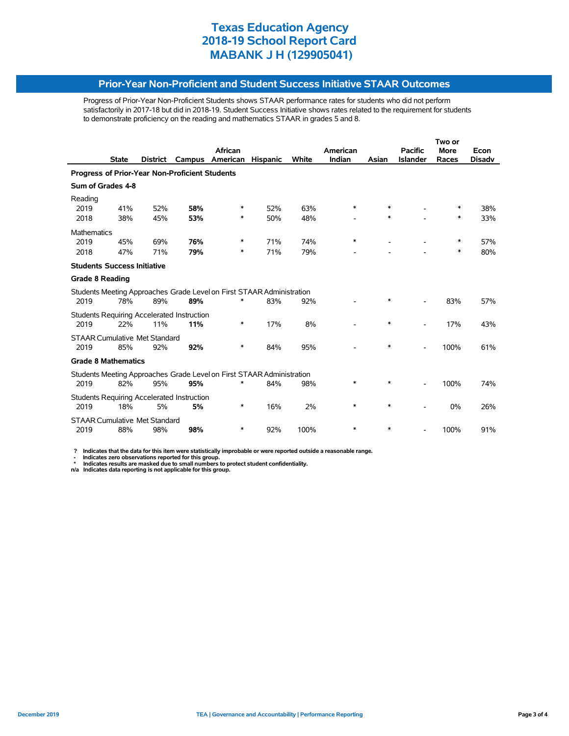#### **Prior-Year Non-Proficient and Student Success Initiative STAAR Outcomes**

Progress of Prior-Year Non-Proficient Students shows STAAR performance rates for students who did not perform satisfactorily in 2017-18 but did in 2018-19. Student Success Initiative shows rates related to the requirement for students to demonstrate proficiency on the reading and mathematics STAAR in grades 5 and 8.

|                                                |              |                 |                                            |                                                                       |                 |       |          | Two or |                 |             |               |
|------------------------------------------------|--------------|-----------------|--------------------------------------------|-----------------------------------------------------------------------|-----------------|-------|----------|--------|-----------------|-------------|---------------|
|                                                |              |                 |                                            | African                                                               |                 |       | American |        | <b>Pacific</b>  | <b>More</b> | Econ          |
|                                                | <b>State</b> | <b>District</b> | Campus                                     | American                                                              | <b>Hispanic</b> | White | Indian   | Asian  | <b>Islander</b> | Races       | <b>Disadv</b> |
| Progress of Prior-Year Non-Proficient Students |              |                 |                                            |                                                                       |                 |       |          |        |                 |             |               |
| Sum of Grades 4-8                              |              |                 |                                            |                                                                       |                 |       |          |        |                 |             |               |
| Reading<br>2019                                | 41%          | 52%             | 58%                                        | ∗                                                                     | 52%             | 63%   | $\ast$   | $\ast$ |                 | ∗           | 38%           |
| 2018                                           | 38%          | 45%             | 53%                                        | *                                                                     | 50%             | 48%   |          | $\ast$ |                 | $\ast$      | 33%           |
| <b>Mathematics</b>                             |              |                 |                                            |                                                                       |                 |       |          |        |                 |             |               |
| 2019                                           | 45%          | 69%             | 76%                                        | ∗                                                                     | 71%             | 74%   | *        |        |                 | $\ast$      | 57%           |
| 2018                                           | 47%          | 71%             | 79%                                        | ∗                                                                     | 71%             | 79%   |          |        |                 | $\ast$      | 80%           |
| <b>Students Success Initiative</b>             |              |                 |                                            |                                                                       |                 |       |          |        |                 |             |               |
| <b>Grade 8 Reading</b>                         |              |                 |                                            |                                                                       |                 |       |          |        |                 |             |               |
|                                                |              |                 |                                            | Students Meeting Approaches Grade Level on First STAAR Administration |                 |       |          |        |                 |             |               |
| 2019                                           | 78%          | 89%             | 89%                                        | ∗                                                                     | 83%             | 92%   |          |        |                 | 83%         | 57%           |
|                                                |              |                 | Students Requiring Accelerated Instruction |                                                                       |                 |       |          |        |                 |             |               |
| 2019                                           | 22%          | 11%             | 11%                                        | ∗                                                                     | 17%             | 8%    |          | $\ast$ |                 | 17%         | 43%           |
| <b>STAAR Cumulative Met Standard</b>           |              |                 |                                            |                                                                       |                 |       |          |        |                 |             |               |
| 2019                                           | 85%          | 92%             | 92%                                        | *                                                                     | 84%             | 95%   |          | $\ast$ |                 | 100%        | 61%           |
| <b>Grade 8 Mathematics</b>                     |              |                 |                                            |                                                                       |                 |       |          |        |                 |             |               |
|                                                |              |                 |                                            | Students Meeting Approaches Grade Level on First STAAR Administration |                 |       |          |        |                 |             |               |
| 2019                                           | 82%          | 95%             | 95%                                        |                                                                       | 84%             | 98%   | *        | *      |                 | 100%        | 74%           |
|                                                |              |                 | Students Requiring Accelerated Instruction |                                                                       |                 |       |          |        |                 |             |               |
| 2019                                           | 18%          | 5%              | 5%                                         | $\ast$                                                                | 16%             | 2%    | $\ast$   | $\ast$ |                 | 0%          | 26%           |
| <b>STAAR Cumulative Met Standard</b>           |              |                 |                                            |                                                                       |                 |       |          |        |                 |             |               |
| 2019                                           | 88%          | 98%             | 98%                                        | ∗                                                                     | 92%             | 100%  | $\ast$   | $\ast$ |                 | 100%        | 91%           |

 **? Indicates that the data for this item were statistically improbable or were reported outside a reasonable range.**

- Indicates zero observations reported for this group.<br>\* Indicates results are masked due to small numbers to protect student confidentiality.<br>n/a Indicates data reporting is not applicable for this group.

j,